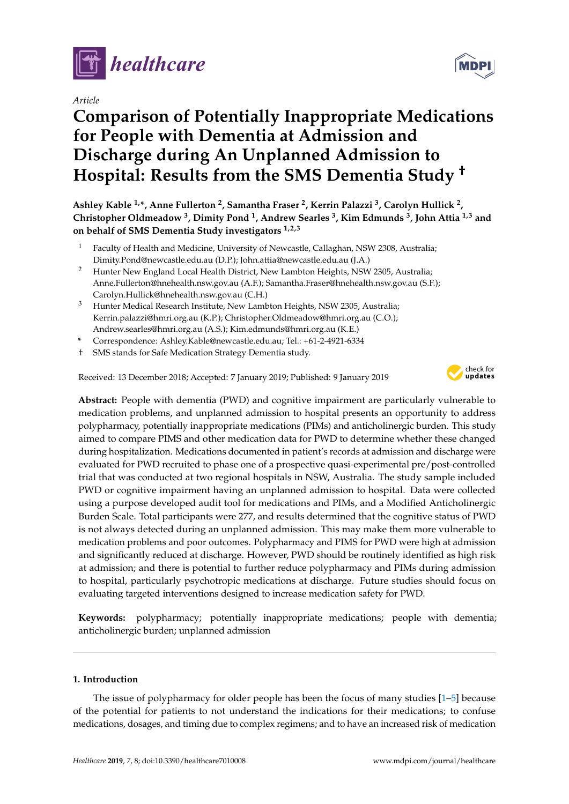

*Article*

# **Comparison of Potentially Inappropriate Medications for People with Dementia at Admission and Discharge during An Unplanned Admission to Hospital: Results from the SMS Dementia Study †**

**Ashley Kable 1,\*, Anne Fullerton <sup>2</sup> , Samantha Fraser <sup>2</sup> , Kerrin Palazzi <sup>3</sup> , Carolyn Hullick <sup>2</sup> , Christopher Oldmeadow <sup>3</sup> , Dimity Pond <sup>1</sup> , Andrew Searles <sup>3</sup> , Kim Edmunds <sup>3</sup> , John Attia 1,3 and on behalf of SMS Dementia Study investigators 1,2,3**

- <sup>1</sup> Faculty of Health and Medicine, University of Newcastle, Callaghan, NSW 2308, Australia; Dimity.Pond@newcastle.edu.au (D.P.); John.attia@newcastle.edu.au (J.A.)
- <sup>2</sup> Hunter New England Local Health District, New Lambton Heights, NSW 2305, Australia; Anne.Fullerton@hnehealth.nsw.gov.au (A.F.); Samantha.Fraser@hnehealth.nsw.gov.au (S.F.); Carolyn.Hullick@hnehealth.nsw.gov.au (C.H.)
- <sup>3</sup> Hunter Medical Research Institute, New Lambton Heights, NSW 2305, Australia; Kerrin.palazzi@hmri.org.au (K.P.); Christopher.Oldmeadow@hmri.org.au (C.O.); Andrew.searles@hmri.org.au (A.S.); Kim.edmunds@hmri.org.au (K.E.)
- **\*** Correspondence: Ashley.Kable@newcastle.edu.au; Tel.: +61-2-4921-6334
- † SMS stands for Safe Medication Strategy Dementia study.

Received: 13 December 2018; Accepted: 7 January 2019; Published: 9 January 2019



**Abstract:** People with dementia (PWD) and cognitive impairment are particularly vulnerable to medication problems, and unplanned admission to hospital presents an opportunity to address polypharmacy, potentially inappropriate medications (PIMs) and anticholinergic burden. This study aimed to compare PIMS and other medication data for PWD to determine whether these changed during hospitalization. Medications documented in patient's records at admission and discharge were evaluated for PWD recruited to phase one of a prospective quasi-experimental pre/post-controlled trial that was conducted at two regional hospitals in NSW, Australia. The study sample included PWD or cognitive impairment having an unplanned admission to hospital. Data were collected using a purpose developed audit tool for medications and PIMs, and a Modified Anticholinergic Burden Scale. Total participants were 277, and results determined that the cognitive status of PWD is not always detected during an unplanned admission. This may make them more vulnerable to medication problems and poor outcomes. Polypharmacy and PIMS for PWD were high at admission and significantly reduced at discharge. However, PWD should be routinely identified as high risk at admission; and there is potential to further reduce polypharmacy and PIMs during admission to hospital, particularly psychotropic medications at discharge. Future studies should focus on evaluating targeted interventions designed to increase medication safety for PWD.

**Keywords:** polypharmacy; potentially inappropriate medications; people with dementia; anticholinergic burden; unplanned admission

# **1. Introduction**

The issue of polypharmacy for older people has been the focus of many studies [\[1](#page-10-0)[–5\]](#page-10-1) because of the potential for patients to not understand the indications for their medications; to confuse medications, dosages, and timing due to complex regimens; and to have an increased risk of medication

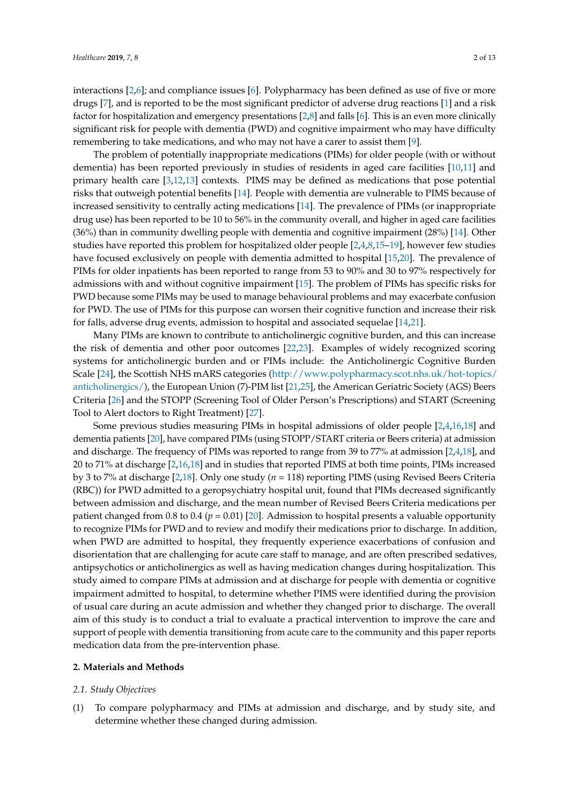interactions [\[2,](#page-10-2)[6\]](#page-10-3); and compliance issues [\[6\]](#page-10-3). Polypharmacy has been defined as use of five or more drugs [\[7\]](#page-10-4), and is reported to be the most significant predictor of adverse drug reactions [\[1\]](#page-10-0) and a risk factor for hospitalization and emergency presentations [\[2](#page-10-2)[,8\]](#page-10-5) and falls [\[6\]](#page-10-3). This is an even more clinically significant risk for people with dementia (PWD) and cognitive impairment who may have difficulty remembering to take medications, and who may not have a carer to assist them [\[9\]](#page-10-6).

The problem of potentially inappropriate medications (PIMs) for older people (with or without dementia) has been reported previously in studies of residents in aged care facilities [\[10,](#page-10-7)[11\]](#page-10-8) and primary health care [\[3](#page-10-9)[,12](#page-11-0)[,13\]](#page-11-1) contexts. PIMS may be defined as medications that pose potential risks that outweigh potential benefits [\[14\]](#page-11-2). People with dementia are vulnerable to PIMS because of increased sensitivity to centrally acting medications [\[14\]](#page-11-2). The prevalence of PIMs (or inappropriate drug use) has been reported to be 10 to 56% in the community overall, and higher in aged care facilities (36%) than in community dwelling people with dementia and cognitive impairment (28%) [\[14\]](#page-11-2). Other studies have reported this problem for hospitalized older people [\[2,](#page-10-2)[4,](#page-10-10)[8,](#page-10-5)[15–](#page-11-3)[19\]](#page-11-4), however few studies have focused exclusively on people with dementia admitted to hospital [\[15](#page-11-3)[,20\]](#page-11-5). The prevalence of PIMs for older inpatients has been reported to range from 53 to 90% and 30 to 97% respectively for admissions with and without cognitive impairment [\[15\]](#page-11-3). The problem of PIMs has specific risks for PWD because some PIMs may be used to manage behavioural problems and may exacerbate confusion for PWD. The use of PIMs for this purpose can worsen their cognitive function and increase their risk for falls, adverse drug events, admission to hospital and associated sequelae [\[14,](#page-11-2)[21\]](#page-11-6).

Many PIMs are known to contribute to anticholinergic cognitive burden, and this can increase the risk of dementia and other poor outcomes [\[22,](#page-11-7)[23\]](#page-11-8). Examples of widely recognized scoring systems for anticholinergic burden and or PIMs include: the Anticholinergic Cognitive Burden Scale [\[24\]](#page-11-9), the Scottish NHS mARS categories [\(http://www.polypharmacy.scot.nhs.uk/hot-topics/](http://www.polypharmacy.scot.nhs.uk/hot-topics/anticholinergics/) [anticholinergics/\)](http://www.polypharmacy.scot.nhs.uk/hot-topics/anticholinergics/), the European Union (7)-PIM list [\[21,](#page-11-6)[25\]](#page-11-10), the American Geriatric Society (AGS) Beers Criteria [\[26\]](#page-11-11) and the STOPP (Screening Tool of Older Person's Prescriptions) and START (Screening Tool to Alert doctors to Right Treatment) [\[27\]](#page-11-12).

Some previous studies measuring PIMs in hospital admissions of older people [\[2](#page-10-2)[,4,](#page-10-10)[16](#page-11-13)[,18\]](#page-11-14) and dementia patients [\[20\]](#page-11-5), have compared PIMs (using STOPP/START criteria or Beers criteria) at admission and discharge. The frequency of PIMs was reported to range from 39 to 77% at admission [\[2,](#page-10-2)[4,](#page-10-10)[18\]](#page-11-14), and 20 to 71% at discharge [\[2,](#page-10-2)[16,](#page-11-13)[18\]](#page-11-14) and in studies that reported PIMS at both time points, PIMs increased by 3 to 7% at discharge [\[2](#page-10-2)[,18\]](#page-11-14). Only one study (*n* = 118) reporting PIMS (using Revised Beers Criteria (RBC)) for PWD admitted to a geropsychiatry hospital unit, found that PIMs decreased significantly between admission and discharge, and the mean number of Revised Beers Criteria medications per patient changed from 0.8 to 0.4 (*p* = 0.01) [\[20\]](#page-11-5). Admission to hospital presents a valuable opportunity to recognize PIMs for PWD and to review and modify their medications prior to discharge. In addition, when PWD are admitted to hospital, they frequently experience exacerbations of confusion and disorientation that are challenging for acute care staff to manage, and are often prescribed sedatives, antipsychotics or anticholinergics as well as having medication changes during hospitalization. This study aimed to compare PIMs at admission and at discharge for people with dementia or cognitive impairment admitted to hospital, to determine whether PIMS were identified during the provision of usual care during an acute admission and whether they changed prior to discharge. The overall aim of this study is to conduct a trial to evaluate a practical intervention to improve the care and support of people with dementia transitioning from acute care to the community and this paper reports medication data from the pre-intervention phase.

## **2. Materials and Methods**

#### *2.1. Study Objectives*

(1) To compare polypharmacy and PIMs at admission and discharge, and by study site, and determine whether these changed during admission.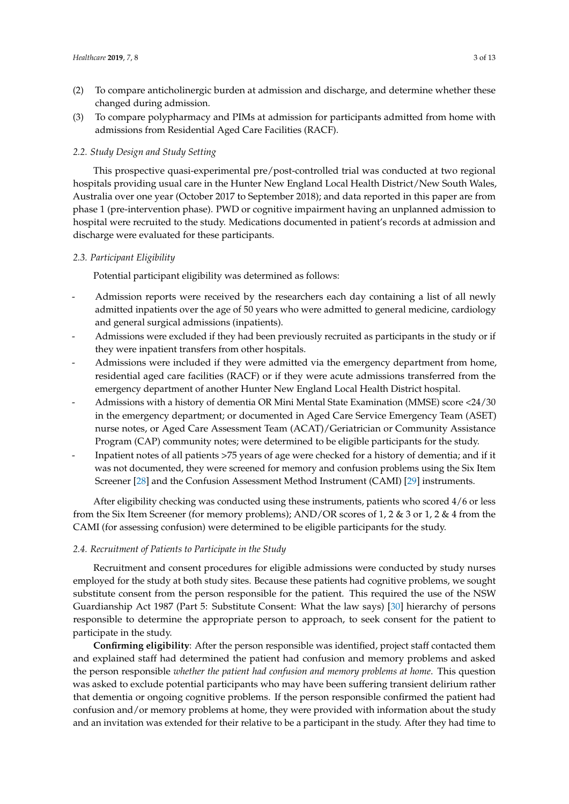- (2) To compare anticholinergic burden at admission and discharge, and determine whether these changed during admission.
- (3) To compare polypharmacy and PIMs at admission for participants admitted from home with admissions from Residential Aged Care Facilities (RACF).

# *2.2. Study Design and Study Setting*

This prospective quasi-experimental pre/post-controlled trial was conducted at two regional hospitals providing usual care in the Hunter New England Local Health District/New South Wales, Australia over one year (October 2017 to September 2018); and data reported in this paper are from phase 1 (pre-intervention phase). PWD or cognitive impairment having an unplanned admission to hospital were recruited to the study. Medications documented in patient's records at admission and discharge were evaluated for these participants.

# *2.3. Participant Eligibility*

Potential participant eligibility was determined as follows:

- Admission reports were received by the researchers each day containing a list of all newly admitted inpatients over the age of 50 years who were admitted to general medicine, cardiology and general surgical admissions (inpatients).
- Admissions were excluded if they had been previously recruited as participants in the study or if they were inpatient transfers from other hospitals.
- Admissions were included if they were admitted via the emergency department from home, residential aged care facilities (RACF) or if they were acute admissions transferred from the emergency department of another Hunter New England Local Health District hospital.
- Admissions with a history of dementia OR Mini Mental State Examination (MMSE) score <24/30 in the emergency department; or documented in Aged Care Service Emergency Team (ASET) nurse notes, or Aged Care Assessment Team (ACAT)/Geriatrician or Community Assistance Program (CAP) community notes; were determined to be eligible participants for the study.
- Inpatient notes of all patients >75 years of age were checked for a history of dementia; and if it was not documented, they were screened for memory and confusion problems using the Six Item Screener [\[28\]](#page-11-15) and the Confusion Assessment Method Instrument (CAMI) [\[29\]](#page-11-16) instruments.

After eligibility checking was conducted using these instruments, patients who scored 4/6 or less from the Six Item Screener (for memory problems); AND/OR scores of 1, 2 & 3 or 1, 2 & 4 from the CAMI (for assessing confusion) were determined to be eligible participants for the study.

## *2.4. Recruitment of Patients to Participate in the Study*

Recruitment and consent procedures for eligible admissions were conducted by study nurses employed for the study at both study sites. Because these patients had cognitive problems, we sought substitute consent from the person responsible for the patient. This required the use of the NSW Guardianship Act 1987 (Part 5: Substitute Consent: What the law says) [\[30\]](#page-11-17) hierarchy of persons responsible to determine the appropriate person to approach, to seek consent for the patient to participate in the study.

**Confirming eligibility**: After the person responsible was identified, project staff contacted them and explained staff had determined the patient had confusion and memory problems and asked the person responsible *whether the patient had confusion and memory problems at home*. This question was asked to exclude potential participants who may have been suffering transient delirium rather that dementia or ongoing cognitive problems. If the person responsible confirmed the patient had confusion and/or memory problems at home, they were provided with information about the study and an invitation was extended for their relative to be a participant in the study. After they had time to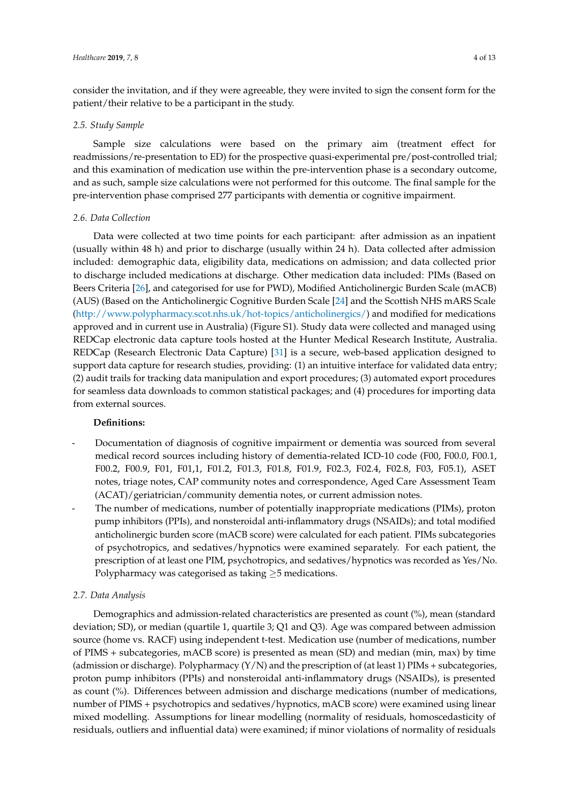consider the invitation, and if they were agreeable, they were invited to sign the consent form for the patient/their relative to be a participant in the study.

## *2.5. Study Sample*

Sample size calculations were based on the primary aim (treatment effect for readmissions/re-presentation to ED) for the prospective quasi-experimental pre/post-controlled trial; and this examination of medication use within the pre-intervention phase is a secondary outcome, and as such, sample size calculations were not performed for this outcome. The final sample for the pre-intervention phase comprised 277 participants with dementia or cognitive impairment.

## *2.6. Data Collection*

Data were collected at two time points for each participant: after admission as an inpatient (usually within 48 h) and prior to discharge (usually within 24 h). Data collected after admission included: demographic data, eligibility data, medications on admission; and data collected prior to discharge included medications at discharge. Other medication data included: PIMs (Based on Beers Criteria [\[26\]](#page-11-11), and categorised for use for PWD), Modified Anticholinergic Burden Scale (mACB) (AUS) (Based on the Anticholinergic Cognitive Burden Scale [\[24\]](#page-11-9) and the Scottish NHS mARS Scale [\(http://www.polypharmacy.scot.nhs.uk/hot-topics/anticholinergics/\)](http://www.polypharmacy.scot.nhs.uk/hot-topics/anticholinergics/) and modified for medications approved and in current use in Australia) (Figure S1). Study data were collected and managed using REDCap electronic data capture tools hosted at the Hunter Medical Research Institute, Australia. REDCap (Research Electronic Data Capture) [\[31\]](#page-12-0) is a secure, web-based application designed to support data capture for research studies, providing: (1) an intuitive interface for validated data entry; (2) audit trails for tracking data manipulation and export procedures; (3) automated export procedures for seamless data downloads to common statistical packages; and (4) procedures for importing data from external sources.

## **Definitions:**

- Documentation of diagnosis of cognitive impairment or dementia was sourced from several medical record sources including history of dementia-related ICD-10 code (F00, F00.0, F00.1, F00.2, F00.9, F01, F01,1, F01.2, F01.3, F01.8, F01.9, F02.3, F02.4, F02.8, F03, F05.1), ASET notes, triage notes, CAP community notes and correspondence, Aged Care Assessment Team (ACAT)/geriatrician/community dementia notes, or current admission notes.
- The number of medications, number of potentially inappropriate medications (PIMs), proton pump inhibitors (PPIs), and nonsteroidal anti-inflammatory drugs (NSAIDs); and total modified anticholinergic burden score (mACB score) were calculated for each patient. PIMs subcategories of psychotropics, and sedatives/hypnotics were examined separately. For each patient, the prescription of at least one PIM, psychotropics, and sedatives/hypnotics was recorded as Yes/No. Polypharmacy was categorised as taking  $\geq$ 5 medications.

## *2.7. Data Analysis*

Demographics and admission-related characteristics are presented as count (%), mean (standard deviation; SD), or median (quartile 1, quartile 3; Q1 and Q3). Age was compared between admission source (home vs. RACF) using independent t-test. Medication use (number of medications, number of PIMS + subcategories, mACB score) is presented as mean (SD) and median (min, max) by time (admission or discharge). Polypharmacy  $(Y/N)$  and the prescription of (at least 1) PIMs + subcategories, proton pump inhibitors (PPIs) and nonsteroidal anti-inflammatory drugs (NSAIDs), is presented as count (%). Differences between admission and discharge medications (number of medications, number of PIMS + psychotropics and sedatives/hypnotics, mACB score) were examined using linear mixed modelling. Assumptions for linear modelling (normality of residuals, homoscedasticity of residuals, outliers and influential data) were examined; if minor violations of normality of residuals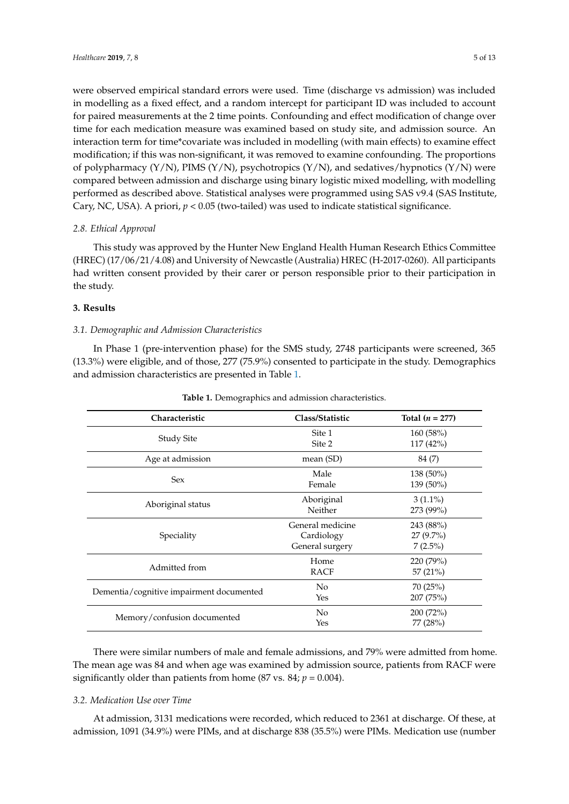were observed empirical standard errors were used. Time (discharge vs admission) was included in modelling as a fixed effect, and a random intercept for participant ID was included to account for paired measurements at the 2 time points. Confounding and effect modification of change over time for each medication measure was examined based on study site, and admission source. An interaction term for time\*covariate was included in modelling (with main effects) to examine effect modification; if this was non-significant, it was removed to examine confounding. The proportions of polypharmacy  $(Y/N)$ , PIMS  $(Y/N)$ , psychotropics  $(Y/N)$ , and sedatives/hypnotics  $(Y/N)$  were compared between admission and discharge using binary logistic mixed modelling, with modelling performed as described above. Statistical analyses were programmed using SAS v9.4 (SAS Institute, Cary, NC, USA). A priori, *p* < 0.05 (two-tailed) was used to indicate statistical significance.

# *2.8. Ethical Approval*

This study was approved by the Hunter New England Health Human Research Ethics Committee (HREC) (17/06/21/4.08) and University of Newcastle (Australia) HREC (H-2017-0260). All participants had written consent provided by their carer or person responsible prior to their participation in the study.

# **3. Results**

# *3.1. Demographic and Admission Characteristics*

In Phase 1 (pre-intervention phase) for the SMS study, 2748 participants were screened, 365 (13.3%) were eligible, and of those, 277 (75.9%) consented to participate in the study. Demographics and admission characteristics are presented in Table [1.](#page-4-0)

<span id="page-4-0"></span>

| Characteristic                           | Class/Statistic  | Total $(n = 277)$ |
|------------------------------------------|------------------|-------------------|
|                                          | Site 1           | 160(58%)          |
| Study Site                               | Site 2           | 117(42%)          |
| Age at admission                         | mean (SD)        | 84 (7)            |
|                                          | Male             | $138(50\%)$       |
| <b>Sex</b>                               | Female           | 139 (50%)         |
|                                          | Aboriginal       | $3(1.1\%)$        |
| Aboriginal status                        | Neither          | 273 (99%)         |
|                                          | General medicine | 243 (88%)         |
| Speciality                               | Cardiology       | $27(9.7\%)$       |
|                                          | General surgery  | $7(2.5\%)$        |
|                                          | Home             | 220 (79%)         |
| Admitted from                            | RACF             | 57 $(21\%)$       |
|                                          | N <sub>0</sub>   | 70 (25%)          |
| Dementia/cognitive impairment documented | Yes              | 207(75%)          |
|                                          | N <sub>0</sub>   | 200(72%)          |
| Memory/confusion documented              | Yes              | 77 (28%)          |

There were similar numbers of male and female admissions, and 79% were admitted from home. The mean age was 84 and when age was examined by admission source, patients from RACF were significantly older than patients from home  $(87 \text{ vs. } 84; p = 0.004)$ .

# *3.2. Medication Use over Time*

At admission, 3131 medications were recorded, which reduced to 2361 at discharge. Of these, at admission, 1091 (34.9%) were PIMs, and at discharge 838 (35.5%) were PIMs. Medication use (number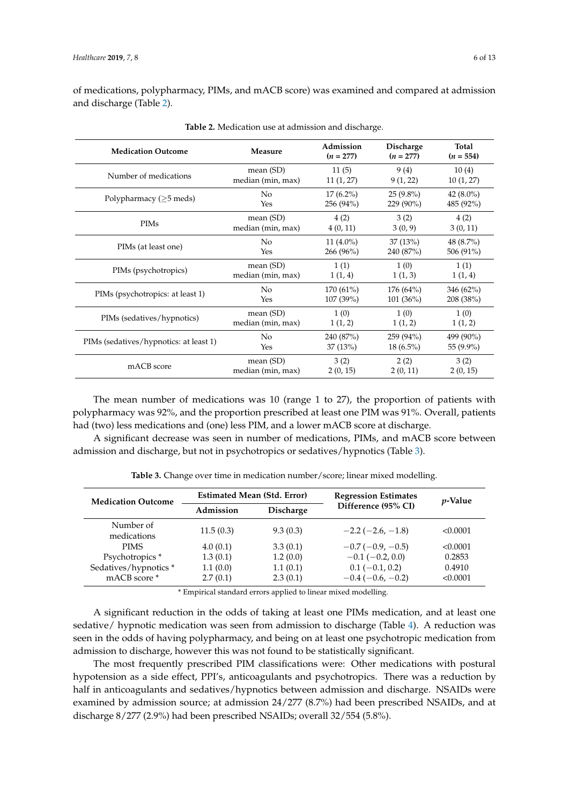of medications, polypharmacy, PIMs, and mACB score) was examined and compared at admission and discharge (Table [2\)](#page-5-0).

<span id="page-5-0"></span>

| <b>Medication Outcome</b>              | Measure           | Admission<br>$(n = 277)$ | <b>Discharge</b><br>$(n = 277)$ | Total<br>$(n = 554)$ |
|----------------------------------------|-------------------|--------------------------|---------------------------------|----------------------|
| Number of medications                  | mean (SD)         | 11(5)                    | 9(4)                            | 10(4)                |
|                                        | median (min, max) | 11(1, 27)                | 9(1, 22)                        | 10(1, 27)            |
| Polypharmacy ( $\geq$ 5 meds)          | No                | $17(6.2\%)$              | $25(9.8\%)$                     | 42 $(8.0\%)$         |
|                                        | Yes               | 256 (94%)                | $229(90\%)$                     | 485 (92%)            |
| <b>PIMs</b>                            | mean (SD)         | 4(2)                     | 3(2)                            | 4(2)                 |
|                                        | median (min, max) | 4(0, 11)                 | 3(0, 9)                         | 3(0, 11)             |
| PIMs (at least one)                    | No.               | 11 $(4.0\%)$             | 37(13%)                         | 48 (8.7%)            |
|                                        | Yes               | $266(96\%)$              | 240 (87%)                       | 506 (91%)            |
|                                        | mean (SD)         | 1(1)                     | 1(0)                            | 1(1)                 |
| PIMs (psychotropics)                   | median (min, max) | 1(1, 4)                  | 1(1,3)                          | 1(1, 4)              |
| PIMs (psychotropics: at least 1)       | N <sub>0</sub>    | $170(61\%)$              | $176(64\%)$                     | 346 $(62\%)$         |
|                                        | Yes               | 107(39%)                 | 101(36%)                        | 208 (38%)            |
|                                        | mean $(SD)$       | 1(0)                     | 1(0)                            | 1(0)                 |
| PIMs (sedatives/hypnotics)             | median (min, max) | 1(1, 2)                  | 1(1, 2)                         | 1(1, 2)              |
|                                        | No                | 240 (87%)                | 259 (94%)                       | 499 (90%)            |
| PIMs (sedatives/hypnotics: at least 1) | Yes               | 37(13%)                  | $18(6.5\%)$                     | 55 (9.9%)            |
|                                        | mean (SD)         | 3(2)                     | 2(2)                            | 3(2)                 |
| mACB score                             | median (min, max) | 2(0, 15)                 | 2(0, 11)                        | 2(0, 15)             |

**Table 2.** Medication use at admission and discharge.

The mean number of medications was 10 (range 1 to 27), the proportion of patients with polypharmacy was 92%, and the proportion prescribed at least one PIM was 91%. Overall, patients had (two) less medications and (one) less PIM, and a lower mACB score at discharge.

A significant decrease was seen in number of medications, PIMs, and mACB score between admission and discharge, but not in psychotropics or sedatives/hypnotics (Table [3\)](#page-5-1).

<span id="page-5-1"></span>

| <b>Medication Outcome</b>             | <b>Estimated Mean (Std. Error)</b> |                      | <b>Regression Estimates</b>                    | <i>p</i> -Value    |  |
|---------------------------------------|------------------------------------|----------------------|------------------------------------------------|--------------------|--|
|                                       | Admission                          | <b>Discharge</b>     | Difference (95% CI)                            |                    |  |
| Number of<br>medications              | 11.5(0.3)                          | 9.3(0.3)             | $-2.2$ ( $-2.6$ , $-1.8$ )                     | < 0.0001           |  |
| <b>PIMS</b>                           | 4.0(0.1)                           | 3.3(0.1)             | $-0.7(-0.9,-0.5)$                              | < 0.0001           |  |
| Psychotropics <sup>*</sup>            | 1.3(0.1)                           | 1.2(0.0)             | $-0.1$ ( $-0.2$ , 0.0)                         | 0.2853             |  |
| Sedatives/hypnotics *<br>mACB score * | 1.1(0.0)<br>2.7(0.1)               | 1.1(0.1)<br>2.3(0.1) | $0.1(-0.1, 0.2)$<br>$-0.4$ ( $-0.6$ , $-0.2$ ) | 0.4910<br>< 0.0001 |  |

**Table 3.** Change over time in medication number/score; linear mixed modelling.

\* Empirical standard errors applied to linear mixed modelling.

A significant reduction in the odds of taking at least one PIMs medication, and at least one sedative/ hypnotic medication was seen from admission to discharge (Table [4\)](#page-6-0). A reduction was seen in the odds of having polypharmacy, and being on at least one psychotropic medication from admission to discharge, however this was not found to be statistically significant.

The most frequently prescribed PIM classifications were: Other medications with postural hypotension as a side effect, PPI's, anticoagulants and psychotropics. There was a reduction by half in anticoagulants and sedatives/hypnotics between admission and discharge. NSAIDs were examined by admission source; at admission 24/277 (8.7%) had been prescribed NSAIDs, and at discharge 8/277 (2.9%) had been prescribed NSAIDs; overall 32/554 (5.8%).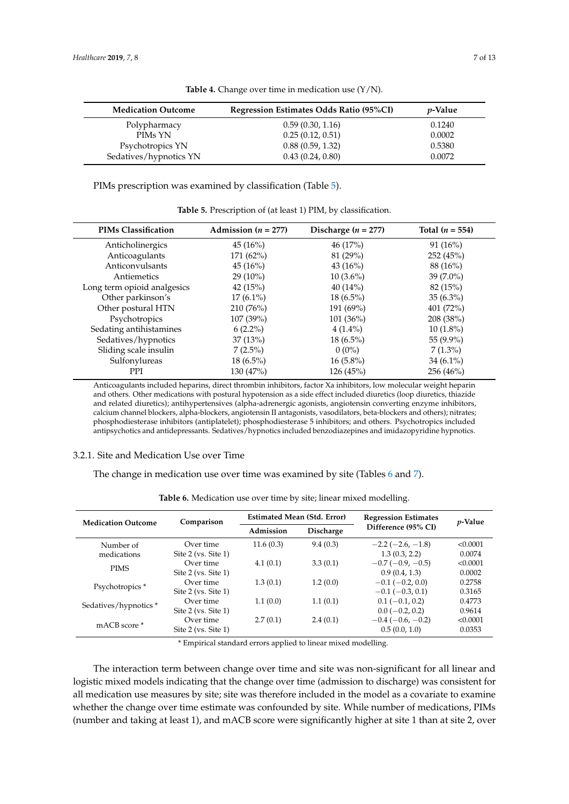<span id="page-6-0"></span>

| <b>Medication Outcome</b> | Regression Estimates Odds Ratio (95%CI) | <i>v</i> -Value |
|---------------------------|-----------------------------------------|-----------------|
| Polypharmacy              | 0.59(0.30, 1.16)                        | 0.1240          |
| PIM <sub>s</sub> YN       | 0.25(0.12, 0.51)                        | 0.0002          |
| Psychotropics YN          | 0.88(0.59, 1.32)                        | 0.5380          |
| Sedatives/hypnotics YN    | 0.43(0.24, 0.80)                        | 0.0072          |

**Table 4.** Change over time in medication use (Y/N).

<span id="page-6-1"></span>PIMs prescription was examined by classification (Table [5\)](#page-6-1).

| <b>PIMs Classification</b>  | Admission $(n = 277)$ | Discharge $(n = 277)$ | Total $(n = 554)$ |
|-----------------------------|-----------------------|-----------------------|-------------------|
| Anticholinergics            | 45(16%)               | 46(17%)               | 91(16%)           |
| Anticoagulants              | 171 (62%)             | 81(29%)               | 252 (45%)         |
| Anticonvulsants             | 45(16%)               | 43(16%)               | 88 (16%)          |
| Antiemetics                 | $29(10\%)$            | $10(3.6\%)$           | $39(7.0\%)$       |
| Long term opioid analgesics | 42 $(15%)$            | 40(14%)               | 82(15%)           |
| Other parkinson's           | $17(6.1\%)$           | $18(6.5\%)$           | $35(6.3\%)$       |
| Other postural HTN          | 210 (76%)             | 191 (69%)             | 401 (72%)         |
| Psychotropics               | 107(39%)              | 101(36%)              | 208 (38%)         |
| Sedating antihistamines     | $6(2.2\%)$            | $4(1.4\%)$            | $10(1.8\%)$       |
| Sedatives/hypnotics         | 37(13%)               | $18(6.5\%)$           | $55(9.9\%)$       |
| Sliding scale insulin       | $7(2.5\%)$            | $0(0\%)$              | $7(1.3\%)$        |
| Sulfonylureas               | $18(6.5\%)$           | $16(5.8\%)$           | $34(6.1\%)$       |
| <b>PPI</b>                  | 130 (47%)             | 126 (45%)             | 256 (46%)         |

**Table 5.** Prescription of (at least 1) PIM, by classification.

Anticoagulants included heparins, direct thrombin inhibitors, factor Xa inhibitors, low molecular weight heparin and others. Other medications with postural hypotension as a side effect included diuretics (loop diuretics, thiazide and related diuretics); antihypertensives (alpha-adrenergic agonists, angiotensin converting enzyme inhibitors, calcium channel blockers, alpha-blockers, angiotensin II antagonists, vasodilators, beta-blockers and others); nitrates; phosphodiesterase inhibitors (antiplatelet); phosphodiesterase 5 inhibitors; and others. Psychotropics included antipsychotics and antidepressants. Sedatives/hypnotics included benzodiazepines and imidazopyridine hypnotics.

## 3.2.1. Site and Medication Use over Time

The change in medication use over time was examined by site (Tables [6](#page-6-2) and [7\)](#page-7-0).

<span id="page-6-2"></span>

| <b>Medication Outcome</b>  | Comparison          | Estimated Mean (Std. Error) |                  | <b>Regression Estimates</b> | $p$ -Value |  |
|----------------------------|---------------------|-----------------------------|------------------|-----------------------------|------------|--|
|                            |                     | Admission                   | <b>Discharge</b> | Difference (95% CI)         |            |  |
| Number of                  | Over time           | 11.6(0.3)                   | 9.4(0.3)         | $-2.2$ ( $-2.6$ , $-1.8$ )  | < 0.0001   |  |
| medications                | Site 2 (vs. Site 1) |                             |                  | 1.3(0.3, 2.2)               | 0.0074     |  |
|                            | Over time           | 4.1(0.1)                    | 3.3(0.1)         | $-0.7(-0.9,-0.5)$           | < 0.0001   |  |
| <b>PIMS</b>                | Site 2 (vs. Site 1) |                             |                  | 0.9(0.4, 1.3)               | 0.0002     |  |
| Psychotropics <sup>*</sup> | Over time           | 1.3(0.1)                    | 1.2(0.0)         | $-0.1$ ( $-0.2$ , 0.0)      | 0.2758     |  |
|                            | Site 2 (vs. Site 1) |                             |                  | $-0.1$ ( $-0.3$ , 0.1)      | 0.3165     |  |
| Sedatives/hypnotics *      | Over time           | 1.1(0.0)                    | 1.1(0.1)         | $0.1 (-0.1, 0.2)$           | 0.4773     |  |
|                            | Site 2 (vs. Site 1) |                             |                  | $0.0 (-0.2, 0.2)$           | 0.9614     |  |
| mACB score *               | Over time           | 2.7(0.1)                    | 2.4(0.1)         | $-0.4(-0.6, -0.2)$          | < 0.0001   |  |
|                            | Site 2 (vs. Site 1) |                             |                  | 0.5(0.0, 1.0)               | 0.0353     |  |

**Table 6.** Medication use over time by site; linear mixed modelling.

\* Empirical standard errors applied to linear mixed modelling.

The interaction term between change over time and site was non-significant for all linear and logistic mixed models indicating that the change over time (admission to discharge) was consistent for all medication use measures by site; site was therefore included in the model as a covariate to examine whether the change over time estimate was confounded by site. While number of medications, PIMs (number and taking at least 1), and mACB score were significantly higher at site 1 than at site 2, over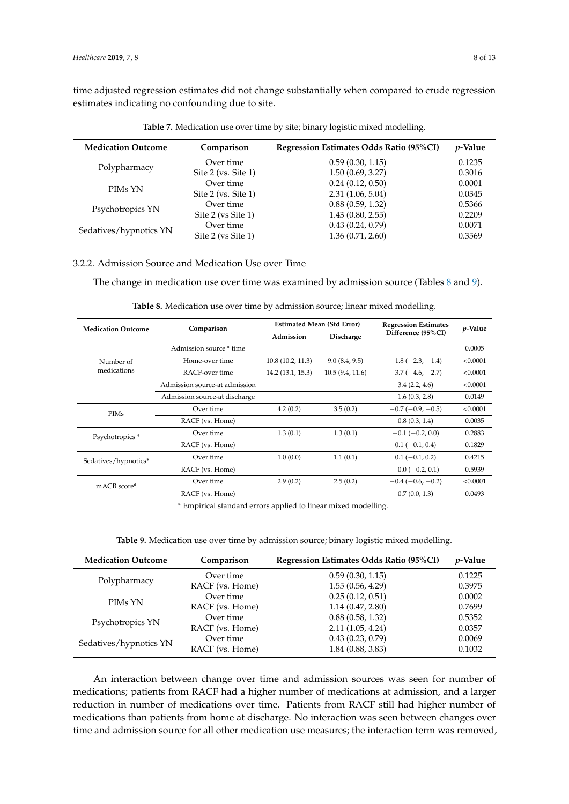time adjusted regression estimates did not change substantially when compared to crude regression estimates indicating no confounding due to site.

<span id="page-7-0"></span>

| <b>Medication Outcome</b> | Comparison            | Regression Estimates Odds Ratio (95%CI) | <i>p</i> -Value |
|---------------------------|-----------------------|-----------------------------------------|-----------------|
|                           | Over time             | 0.59(0.30, 1.15)                        | 0.1235          |
| Polypharmacy              | Site 2 (vs. Site 1)   | 1.50(0.69, 3.27)                        | 0.3016          |
|                           | Over time             | 0.24(0.12, 0.50)                        | 0.0001          |
| PIM <sub>s</sub> YN       | Site $2$ (vs. Site 1) | 2.31(1.06, 5.04)                        | 0.0345          |
| Psychotropics YN          | Over time             | 0.88(0.59, 1.32)                        | 0.5366          |
|                           | Site 2 (vs Site 1)    | 1.43(0.80, 2.55)                        | 0.2209          |
| Sedatives/hypnotics YN    | Over time             | 0.43(0.24, 0.79)                        | 0.0071          |
|                           | Site 2 (vs Site 1)    | 1.36(0.71, 2.60)                        | 0.3569          |

**Table 7.** Medication use over time by site; binary logistic mixed modelling.

## 3.2.2. Admission Source and Medication Use over Time

The change in medication use over time was examined by admission source (Tables [8](#page-7-1) and [9\)](#page-7-2).

<span id="page-7-1"></span>

| <b>Medication Outcome</b>  | Comparison                    | <b>Estimated Mean (Std Error)</b> |                  | <b>Regression Estimates</b> | <i>p</i> -Value |
|----------------------------|-------------------------------|-----------------------------------|------------------|-----------------------------|-----------------|
|                            |                               | Admission                         | <b>Discharge</b> | Difference (95%CI)          |                 |
|                            | Admission source * time       |                                   |                  |                             | 0.0005          |
| Number of                  | Home-over time                | 10.8(10.2, 11.3)                  | 9.0(8.4, 9.5)    | $-1.8(-2.3,-1.4)$           | < 0.0001        |
| medications                | RACF-over time                | 14.2 (13.1, 15.3)                 | 10.5(9.4, 11.6)  | $-3.7(-4.6, -2.7)$          | < 0.0001        |
|                            | Admission source-at admission |                                   |                  | 3.4(2.2, 4.6)               | < 0.0001        |
|                            | Admission source-at discharge |                                   |                  | 1.6(0.3, 2.8)               | 0.0149          |
| <b>PIMs</b>                | Over time                     | 4.2(0.2)                          | 3.5(0.2)         | $-0.7(-0.9,-0.5)$           | < 0.0001        |
|                            | RACF (vs. Home)               |                                   |                  | 0.8(0.3, 1.4)               | 0.0035          |
| Psychotropics <sup>*</sup> | Over time                     | 1.3(0.1)                          | 1.3(0.1)         | $-0.1$ ( $-0.2$ , 0.0)      | 0.2883          |
|                            | RACF (vs. Home)               |                                   |                  | $0.1(-0.1, 0.4)$            | 0.1829          |
| Sedatives/hypnotics*       | Over time                     | 1.0(0.0)                          | 1.1(0.1)         | $0.1 (-0.1, 0.2)$           | 0.4215          |
|                            | RACF (vs. Home)               |                                   |                  | $-0.0$ ( $-0.2$ , 0.1)      | 0.5939          |
| mACB score*                | Over time                     | 2.9(0.2)                          | 2.5(0.2)         | $-0.4(-0.6,-0.2)$           | < 0.0001        |
|                            | RACF (vs. Home)               |                                   |                  | 0.7(0.0, 1.3)               | 0.0493          |

\* Empirical standard errors applied to linear mixed modelling.

**Table 9.** Medication use over time by admission source; binary logistic mixed modelling.

<span id="page-7-2"></span>

| <b>Medication Outcome</b> | Comparison      | <b>Regression Estimates Odds Ratio (95%CI)</b> | <i>p</i> -Value |
|---------------------------|-----------------|------------------------------------------------|-----------------|
|                           | Over time       | 0.59(0.30, 1.15)                               | 0.1225          |
| Polypharmacy              | RACF (vs. Home) | 1.55(0.56, 4.29)                               | 0.3975          |
| PIMs YN                   | Over time       | 0.25(0.12, 0.51)                               | 0.0002          |
|                           | RACF (vs. Home) | 1.14(0.47, 2.80)                               | 0.7699          |
|                           | Over time       | 0.88(0.58, 1.32)                               | 0.5352          |
| Psychotropics YN          | RACF (vs. Home) | 2.11(1.05, 4.24)                               | 0.0357          |
| Sedatives/hypnotics YN    | Over time       | 0.43(0.23, 0.79)                               | 0.0069          |
|                           | RACF (vs. Home) | 1.84(0.88, 3.83)                               | 0.1032          |

An interaction between change over time and admission sources was seen for number of medications; patients from RACF had a higher number of medications at admission, and a larger reduction in number of medications over time. Patients from RACF still had higher number of medications than patients from home at discharge. No interaction was seen between changes over time and admission source for all other medication use measures; the interaction term was removed,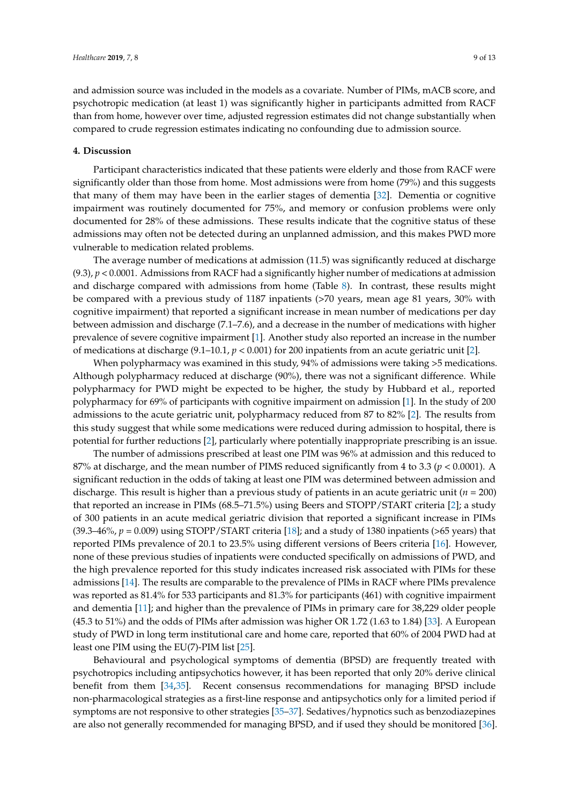and admission source was included in the models as a covariate. Number of PIMs, mACB score, and psychotropic medication (at least 1) was significantly higher in participants admitted from RACF than from home, however over time, adjusted regression estimates did not change substantially when compared to crude regression estimates indicating no confounding due to admission source.

#### **4. Discussion**

Participant characteristics indicated that these patients were elderly and those from RACF were significantly older than those from home. Most admissions were from home (79%) and this suggests that many of them may have been in the earlier stages of dementia [\[32\]](#page-12-1). Dementia or cognitive impairment was routinely documented for 75%, and memory or confusion problems were only documented for 28% of these admissions. These results indicate that the cognitive status of these admissions may often not be detected during an unplanned admission, and this makes PWD more vulnerable to medication related problems.

The average number of medications at admission (11.5) was significantly reduced at discharge (9.3), *p* < 0.0001. Admissions from RACF had a significantly higher number of medications at admission and discharge compared with admissions from home (Table [8\)](#page-7-1). In contrast, these results might be compared with a previous study of 1187 inpatients (>70 years, mean age 81 years, 30% with cognitive impairment) that reported a significant increase in mean number of medications per day between admission and discharge (7.1–7.6), and a decrease in the number of medications with higher prevalence of severe cognitive impairment [\[1\]](#page-10-0). Another study also reported an increase in the number of medications at discharge (9.1–10.1, *p* < 0.001) for 200 inpatients from an acute geriatric unit [\[2\]](#page-10-2).

When polypharmacy was examined in this study, 94% of admissions were taking  $>5$  medications. Although polypharmacy reduced at discharge (90%), there was not a significant difference. While polypharmacy for PWD might be expected to be higher, the study by Hubbard et al., reported polypharmacy for 69% of participants with cognitive impairment on admission [\[1\]](#page-10-0). In the study of 200 admissions to the acute geriatric unit, polypharmacy reduced from 87 to 82% [\[2\]](#page-10-2). The results from this study suggest that while some medications were reduced during admission to hospital, there is potential for further reductions [\[2\]](#page-10-2), particularly where potentially inappropriate prescribing is an issue.

The number of admissions prescribed at least one PIM was 96% at admission and this reduced to 87% at discharge, and the mean number of PIMS reduced significantly from 4 to 3.3 ( $p < 0.0001$ ). A significant reduction in the odds of taking at least one PIM was determined between admission and discharge. This result is higher than a previous study of patients in an acute geriatric unit (*n* = 200) that reported an increase in PIMs (68.5–71.5%) using Beers and STOPP/START criteria [\[2\]](#page-10-2); a study of 300 patients in an acute medical geriatric division that reported a significant increase in PIMs (39.3–46%,  $p = 0.009$ ) using STOPP/START criteria [\[18\]](#page-11-14); and a study of 1380 inpatients (>65 years) that reported PIMs prevalence of 20.1 to 23.5% using different versions of Beers criteria [\[16\]](#page-11-13). However, none of these previous studies of inpatients were conducted specifically on admissions of PWD, and the high prevalence reported for this study indicates increased risk associated with PIMs for these admissions [\[14\]](#page-11-2). The results are comparable to the prevalence of PIMs in RACF where PIMs prevalence was reported as 81.4% for 533 participants and 81.3% for participants (461) with cognitive impairment and dementia [\[11\]](#page-10-8); and higher than the prevalence of PIMs in primary care for 38,229 older people (45.3 to 51%) and the odds of PIMs after admission was higher OR 1.72 (1.63 to 1.84) [\[33\]](#page-12-2). A European study of PWD in long term institutional care and home care, reported that 60% of 2004 PWD had at least one PIM using the EU(7)-PIM list [\[25\]](#page-11-10).

Behavioural and psychological symptoms of dementia (BPSD) are frequently treated with psychotropics including antipsychotics however, it has been reported that only 20% derive clinical benefit from them [\[34,](#page-12-3)[35\]](#page-12-4). Recent consensus recommendations for managing BPSD include non-pharmacological strategies as a first-line response and antipsychotics only for a limited period if symptoms are not responsive to other strategies [\[35](#page-12-4)[–37\]](#page-12-5). Sedatives/hypnotics such as benzodiazepines are also not generally recommended for managing BPSD, and if used they should be monitored [\[36\]](#page-12-6).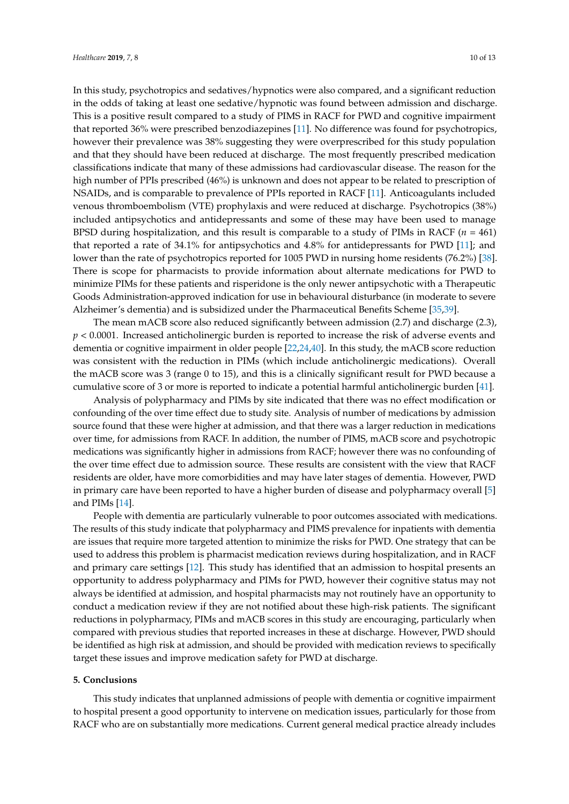In this study, psychotropics and sedatives/hypnotics were also compared, and a significant reduction in the odds of taking at least one sedative/hypnotic was found between admission and discharge. This is a positive result compared to a study of PIMS in RACF for PWD and cognitive impairment that reported 36% were prescribed benzodiazepines [\[11\]](#page-10-8). No difference was found for psychotropics, however their prevalence was 38% suggesting they were overprescribed for this study population and that they should have been reduced at discharge. The most frequently prescribed medication classifications indicate that many of these admissions had cardiovascular disease. The reason for the high number of PPIs prescribed (46%) is unknown and does not appear to be related to prescription of NSAIDs, and is comparable to prevalence of PPIs reported in RACF [\[11\]](#page-10-8). Anticoagulants included venous thromboembolism (VTE) prophylaxis and were reduced at discharge. Psychotropics (38%) included antipsychotics and antidepressants and some of these may have been used to manage BPSD during hospitalization, and this result is comparable to a study of PIMs in RACF (*n* = 461) that reported a rate of 34.1% for antipsychotics and 4.8% for antidepressants for PWD [\[11\]](#page-10-8); and lower than the rate of psychotropics reported for 1005 PWD in nursing home residents (76.2%) [\[38\]](#page-12-7). There is scope for pharmacists to provide information about alternate medications for PWD to minimize PIMs for these patients and risperidone is the only newer antipsychotic with a Therapeutic Goods Administration-approved indication for use in behavioural disturbance (in moderate to severe Alzheimer's dementia) and is subsidized under the Pharmaceutical Benefits Scheme [\[35](#page-12-4)[,39\]](#page-12-8).

The mean mACB score also reduced significantly between admission (2.7) and discharge (2.3), *p* < 0.0001. Increased anticholinergic burden is reported to increase the risk of adverse events and dementia or cognitive impairment in older people [\[22](#page-11-7)[,24](#page-11-9)[,40\]](#page-12-9). In this study, the mACB score reduction was consistent with the reduction in PIMs (which include anticholinergic medications). Overall the mACB score was 3 (range 0 to 15), and this is a clinically significant result for PWD because a cumulative score of 3 or more is reported to indicate a potential harmful anticholinergic burden [\[41\]](#page-12-10).

Analysis of polypharmacy and PIMs by site indicated that there was no effect modification or confounding of the over time effect due to study site. Analysis of number of medications by admission source found that these were higher at admission, and that there was a larger reduction in medications over time, for admissions from RACF. In addition, the number of PIMS, mACB score and psychotropic medications was significantly higher in admissions from RACF; however there was no confounding of the over time effect due to admission source. These results are consistent with the view that RACF residents are older, have more comorbidities and may have later stages of dementia. However, PWD in primary care have been reported to have a higher burden of disease and polypharmacy overall [\[5\]](#page-10-1) and PIMs [\[14\]](#page-11-2).

People with dementia are particularly vulnerable to poor outcomes associated with medications. The results of this study indicate that polypharmacy and PIMS prevalence for inpatients with dementia are issues that require more targeted attention to minimize the risks for PWD. One strategy that can be used to address this problem is pharmacist medication reviews during hospitalization, and in RACF and primary care settings [\[12\]](#page-11-0). This study has identified that an admission to hospital presents an opportunity to address polypharmacy and PIMs for PWD, however their cognitive status may not always be identified at admission, and hospital pharmacists may not routinely have an opportunity to conduct a medication review if they are not notified about these high-risk patients. The significant reductions in polypharmacy, PIMs and mACB scores in this study are encouraging, particularly when compared with previous studies that reported increases in these at discharge. However, PWD should be identified as high risk at admission, and should be provided with medication reviews to specifically target these issues and improve medication safety for PWD at discharge.

#### **5. Conclusions**

This study indicates that unplanned admissions of people with dementia or cognitive impairment to hospital present a good opportunity to intervene on medication issues, particularly for those from RACF who are on substantially more medications. Current general medical practice already includes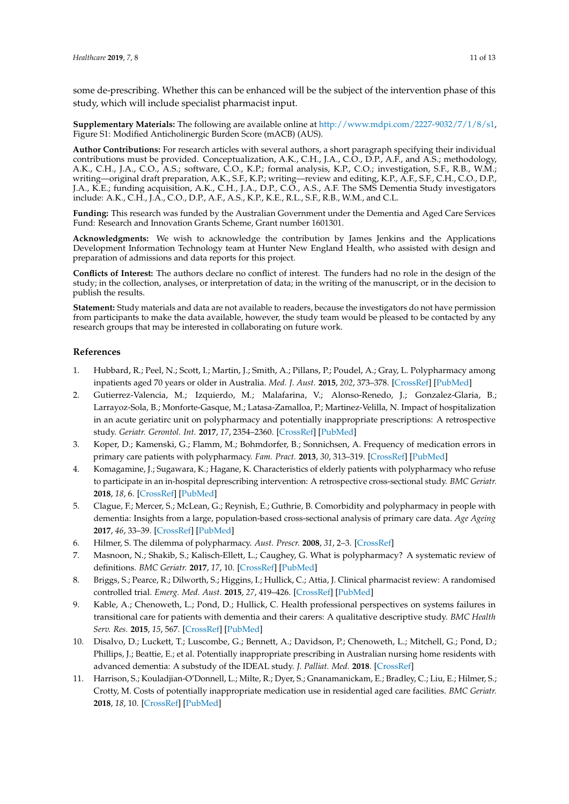some de-prescribing. Whether this can be enhanced will be the subject of the intervention phase of this study, which will include specialist pharmacist input.

**Supplementary Materials:** The following are available online at [http://www.mdpi.com/2227-9032/7/1/8/s1,](http://www.mdpi.com/2227-9032/7/1/8/s1) Figure S1: Modified Anticholinergic Burden Score (mACB) (AUS).

**Author Contributions:** For research articles with several authors, a short paragraph specifying their individual contributions must be provided. Conceptualization, A.K., C.H., J.A., C.O., D.P., A.F., and A.S.; methodology, A.K., C.H., J.A., C.O., A.S.; software, C.O., K.P.; formal analysis, K.P., C.O.; investigation, S.F., R.B., W.M.; writing—original draft preparation, A.K., S.F., K.P.; writing—review and editing, K.P., A.F., S.F., C.H., C.O., D.P., J.A., K.E.; funding acquisition, A.K., C.H., J.A., D.P., C.O., A.S., A.F. The SMS Dementia Study investigators include: A.K., C.H., J.A., C.O., D.P., A.F., A.S., K.P., K.E., R.L., S.F., R.B., W.M., and C.L.

**Funding:** This research was funded by the Australian Government under the Dementia and Aged Care Services Fund: Research and Innovation Grants Scheme, Grant number 1601301.

**Acknowledgments:** We wish to acknowledge the contribution by James Jenkins and the Applications Development Information Technology team at Hunter New England Health, who assisted with design and preparation of admissions and data reports for this project.

**Conflicts of Interest:** The authors declare no conflict of interest. The funders had no role in the design of the study; in the collection, analyses, or interpretation of data; in the writing of the manuscript, or in the decision to publish the results.

**Statement:** Study materials and data are not available to readers, because the investigators do not have permission from participants to make the data available, however, the study team would be pleased to be contacted by any research groups that may be interested in collaborating on future work.

# **References**

- <span id="page-10-0"></span>1. Hubbard, R.; Peel, N.; Scott, I.; Martin, J.; Smith, A.; Pillans, P.; Poudel, A.; Gray, L. Polypharmacy among inpatients aged 70 years or older in Australia. *Med. J. Aust.* **2015**, *202*, 373–378. [\[CrossRef\]](http://dx.doi.org/10.5694/mja13.00172) [\[PubMed\]](http://www.ncbi.nlm.nih.gov/pubmed/25877120)
- <span id="page-10-2"></span>2. Gutierrez-Valencia, M.; Izquierdo, M.; Malafarina, V.; Alonso-Renedo, J.; Gonzalez-Glaria, B.; Larrayoz-Sola, B.; Monforte-Gasque, M.; Latasa-Zamalloa, P.; Martinez-Velilla, N. Impact of hospitalization in an acute geriatirc unit on polypharmacy and potentially inappropriate prescriptions: A retrospective study. *Geriatr. Gerontol. Int.* **2017**, *17*, 2354–2360. [\[CrossRef\]](http://dx.doi.org/10.1111/ggi.13073) [\[PubMed\]](http://www.ncbi.nlm.nih.gov/pubmed/28422415)
- <span id="page-10-9"></span>3. Koper, D.; Kamenski, G.; Flamm, M.; Bohmdorfer, B.; Sonnichsen, A. Frequency of medication errors in primary care patients with polypharmacy. *Fam. Pract.* **2013**, *30*, 313–319. [\[CrossRef\]](http://dx.doi.org/10.1093/fampra/cms070) [\[PubMed\]](http://www.ncbi.nlm.nih.gov/pubmed/23132894)
- <span id="page-10-10"></span>4. Komagamine, J.; Sugawara, K.; Hagane, K. Characteristics of elderly patients with polypharmacy who refuse to participate in an in-hospital deprescribing intervention: A retrospective cross-sectional study. *BMC Geriatr.* **2018**, *18*, 6. [\[CrossRef\]](http://dx.doi.org/10.1186/s12877-018-0788-1) [\[PubMed\]](http://www.ncbi.nlm.nih.gov/pubmed/29665778)
- <span id="page-10-1"></span>5. Clague, F.; Mercer, S.; McLean, G.; Reynish, E.; Guthrie, B. Comorbidity and polypharmacy in people with dementia: Insights from a large, population-based cross-sectional analysis of primary care data. *Age Ageing* **2017**, *46*, 33–39. [\[CrossRef\]](http://dx.doi.org/10.1093/ageing/afw176) [\[PubMed\]](http://www.ncbi.nlm.nih.gov/pubmed/28181629)
- <span id="page-10-3"></span>6. Hilmer, S. The dilemma of polypharmacy. *Aust. Prescr.* **2008**, *31*, 2–3. [\[CrossRef\]](http://dx.doi.org/10.18773/austprescr.2008.001)
- <span id="page-10-4"></span>7. Masnoon, N.; Shakib, S.; Kalisch-Ellett, L.; Caughey, G. What is polypharmacy? A systematic review of definitions. *BMC Geriatr.* **2017**, *17*, 10. [\[CrossRef\]](http://dx.doi.org/10.1186/s12877-017-0621-2) [\[PubMed\]](http://www.ncbi.nlm.nih.gov/pubmed/29017448)
- <span id="page-10-5"></span>8. Briggs, S.; Pearce, R.; Dilworth, S.; Higgins, I.; Hullick, C.; Attia, J. Clinical pharmacist review: A randomised controlled trial. *Emerg. Med. Aust.* **2015**, *27*, 419–426. [\[CrossRef\]](http://dx.doi.org/10.1111/1742-6723.12451) [\[PubMed\]](http://www.ncbi.nlm.nih.gov/pubmed/26190132)
- <span id="page-10-6"></span>9. Kable, A.; Chenoweth, L.; Pond, D.; Hullick, C. Health professional perspectives on systems failures in transitional care for patients with dementia and their carers: A qualitative descriptive study. *BMC Health Serv. Res.* **2015**, *15*, 567. [\[CrossRef\]](http://dx.doi.org/10.1186/s12913-015-1227-z) [\[PubMed\]](http://www.ncbi.nlm.nih.gov/pubmed/26684210)
- <span id="page-10-7"></span>10. Disalvo, D.; Luckett, T.; Luscombe, G.; Bennett, A.; Davidson, P.; Chenoweth, L.; Mitchell, G.; Pond, D.; Phillips, J.; Beattie, E.; et al. Potentially inappropriate prescribing in Australian nursing home residents with advanced dementia: A substudy of the IDEAL study. *J. Palliat. Med.* **2018**. [\[CrossRef\]](http://dx.doi.org/10.1089/jpm.2018.0070)
- <span id="page-10-8"></span>11. Harrison, S.; Kouladjian-O'Donnell, L.; Milte, R.; Dyer, S.; Gnanamanickam, E.; Bradley, C.; Liu, E.; Hilmer, S.; Crotty, M. Costs of potentially inappropriate medication use in residential aged care facilities. *BMC Geriatr.* **2018**, *18*, 10. [\[CrossRef\]](http://dx.doi.org/10.1186/s12877-018-0704-8) [\[PubMed\]](http://www.ncbi.nlm.nih.gov/pubmed/29325531)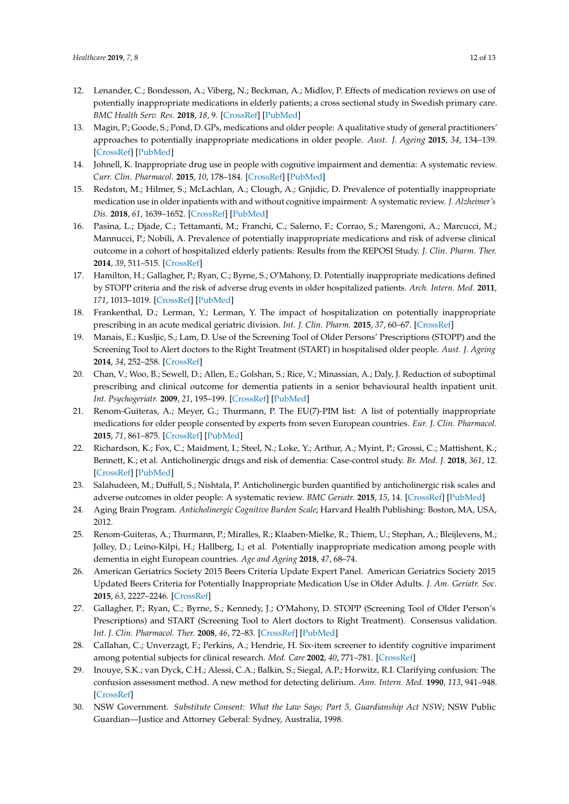- <span id="page-11-0"></span>12. Lenander, C.; Bondesson, A.; Viberg, N.; Beckman, A.; Midlov, P. Effects of medication reviews on use of potentially inappropriate medications in elderly patients; a cross sectional study in Swedish primary care. *BMC Health Serv. Res.* **2018**, *18*, 9. [\[CrossRef\]](http://dx.doi.org/10.1186/s12913-018-3425-y) [\[PubMed\]](http://www.ncbi.nlm.nih.gov/pubmed/30086742)
- <span id="page-11-1"></span>13. Magin, P.; Goode, S.; Pond, D. GPs, medications and older people: A qualitative study of general practitioners' approaches to potentially inappropriate medications in older people. *Aust. J. Ageing* **2015**, *34*, 134–139. [\[CrossRef\]](http://dx.doi.org/10.1111/ajag.12150) [\[PubMed\]](http://www.ncbi.nlm.nih.gov/pubmed/24754489)
- <span id="page-11-2"></span>14. Johnell, K. Inappropriate drug use in people with cognitive impairment and dementia: A systematic review. *Curr. Clin. Pharmacol.* **2015**, *10*, 178–184. [\[CrossRef\]](http://dx.doi.org/10.2174/1574884710666150609154741) [\[PubMed\]](http://www.ncbi.nlm.nih.gov/pubmed/26054404)
- <span id="page-11-3"></span>15. Redston, M.; Hilmer, S.; McLachlan, A.; Clough, A.; Gnjidic, D. Prevalence of potentially inappropriate medication use in older inpatients with and without cognitive impairment: A systematic review. *J. Alzheimer's Dis.* **2018**, *61*, 1639–1652. [\[CrossRef\]](http://dx.doi.org/10.3233/JAD-170842) [\[PubMed\]](http://www.ncbi.nlm.nih.gov/pubmed/29278890)
- <span id="page-11-13"></span>16. Pasina, L.; Djade, C.; Tettamanti, M.; Franchi, C.; Salerno, F.; Corrao, S.; Marengoni, A.; Marcucci, M.; Mannucci, P.; Nobili, A. Prevalence of potentially inappropriate medications and risk of adverse clinical outcome in a cohort of hospitalized elderly patients: Results from the REPOSI Study. *J. Clin. Pharm. Ther.* **2014**, *39*, 511–515. [\[CrossRef\]](http://dx.doi.org/10.1111/jcpt.12178)
- 17. Hamilton, H.; Gallagher, P.; Ryan, C.; Byrne, S.; O'Mahony, D. Potentially inappropriate medications defined by STOPP criteria and the risk of adverse drug events in older hospitalized patients. *Arch. Intern. Med.* **2011**, *171*, 1013–1019. [\[CrossRef\]](http://dx.doi.org/10.1001/archinternmed.2011.215) [\[PubMed\]](http://www.ncbi.nlm.nih.gov/pubmed/21670370)
- <span id="page-11-14"></span>18. Frankenthal, D.; Lerman, Y.; Lerman, Y. The impact of hospitalization on potentially inappropriate prescribing in an acute medical geriatric division. *Int. J. Clin. Pharm.* **2015**, *37*, 60–67. [\[CrossRef\]](http://dx.doi.org/10.1007/s11096-014-0040-9)
- <span id="page-11-4"></span>19. Manais, E.; Kusljic, S.; Lam, D. Use of the Screening Tool of Older Persons' Prescriptions (STOPP) and the Screening Tool to Alert doctors to the Right Treatment (START) in hospitalised older people. *Aust. J. Ageing* **2014**, *34*, 252–258. [\[CrossRef\]](http://dx.doi.org/10.1111/ajag.12186)
- <span id="page-11-5"></span>20. Chan, V.; Woo, B.; Sewell, D.; Allen, E.; Golshan, S.; Rice, V.; Minassian, A.; Daly, J. Reduction of suboptimal prescribing and clinical outcome for dementia patients in a senior behavioural health inpatient unit. *Int. Psychogeriatr.* **2009**, *21*, 195–199. [\[CrossRef\]](http://dx.doi.org/10.1017/S104161020800803X) [\[PubMed\]](http://www.ncbi.nlm.nih.gov/pubmed/19019261)
- <span id="page-11-6"></span>21. Renom-Guiteras, A.; Meyer, G.; Thurmann, P. The EU(7)-PIM list: A list of potentially inappropriate medications for older people consented by experts from seven European countries. *Eur. J. Clin. Pharmacol.* **2015**, *71*, 861–875. [\[CrossRef\]](http://dx.doi.org/10.1007/s00228-015-1860-9) [\[PubMed\]](http://www.ncbi.nlm.nih.gov/pubmed/25967540)
- <span id="page-11-7"></span>22. Richardson, K.; Fox, C.; Maidment, I.; Steel, N.; Loke, Y.; Arthur, A.; Myint, P.; Grossi, C.; Mattishent, K.; Bennett, K.; et al. Anticholinergic drugs and risk of dementia: Case-control study. *Br. Med. J.* **2018**, *361*, 12. [\[CrossRef\]](http://dx.doi.org/10.1136/bmj.k1315) [\[PubMed\]](http://www.ncbi.nlm.nih.gov/pubmed/29695481)
- <span id="page-11-8"></span>23. Salahudeen, M.; Duffull, S.; Nishtala, P. Anticholinergic burden quantified by anticholinergic risk scales and adverse outcomes in older people: A systematic review. *BMC Geriatr.* **2015**, *15*, 14. [\[CrossRef\]](http://dx.doi.org/10.1186/s12877-015-0029-9) [\[PubMed\]](http://www.ncbi.nlm.nih.gov/pubmed/25879993)
- <span id="page-11-9"></span>24. Aging Brain Program. *Anticholinergic Cognitive Burden Scale*; Harvard Health Publishing: Boston, MA, USA, 2012.
- <span id="page-11-10"></span>25. Renom-Guiteras, A.; Thurmann, P.; Miralles, R.; Klaaben-Mielke, R.; Thiem, U.; Stephan, A.; Bleijlevens, M.; Jolley, D.; Leino-Kilpi, H.; Hallberg, I.; et al. Potentially inappropriate medication among people with dementia in eight European countries. *Age and Ageing* **2018**, *47*, 68–74.
- <span id="page-11-11"></span>26. American Geriatrics Society 2015 Beers Criteria Update Expert Panel. American Geriatrics Society 2015 Updated Beers Criteria for Potentially Inappropriate Medication Use in Older Adults. *J. Am. Geriatr. Soc.* **2015**, *63*, 2227–2246. [\[CrossRef\]](http://dx.doi.org/10.1111/jgs.13702)
- <span id="page-11-12"></span>27. Gallagher, P.; Ryan, C.; Byrne, S.; Kennedy, J.; O'Mahony, D. STOPP (Screening Tool of Older Person's Prescriptions) and START (Screening Tool to Alert doctors to Right Treatment). Consensus validation. *Int. J. Clin. Pharmacol. Ther.* **2008**, *46*, 72–83. [\[CrossRef\]](http://dx.doi.org/10.5414/CPP46072) [\[PubMed\]](http://www.ncbi.nlm.nih.gov/pubmed/18218287)
- <span id="page-11-15"></span>28. Callahan, C.; Unverzagt, F.; Perkins, A.; Hendrie, H. Six-item screener to identify cognitive impariment among potential subjects for clinical research. *Med. Care* **2002**, *40*, 771–781. [\[CrossRef\]](http://dx.doi.org/10.1097/00005650-200209000-00007)
- <span id="page-11-16"></span>29. Inouye, S.K.; van Dyck, C.H.; Alessi, C.A.; Balkin, S.; Siegal, A.P.; Horwitz, R.I. Clarifying confusion: The confusion assessment method. A new method for detecting delirium. *Ann. Intern. Med.* **1990**, *113*, 941–948. [\[CrossRef\]](http://dx.doi.org/10.7326/0003-4819-113-12-941)
- <span id="page-11-17"></span>30. NSW Government. *Substitute Consent: What the Law Says; Part 5, Guardianship Act NSW*; NSW Public Guardian—Justice and Attorney Geberal: Sydney, Australia, 1998.